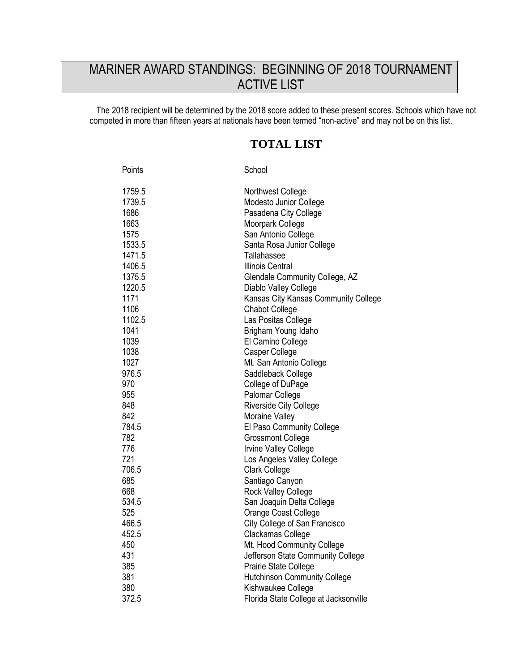## MARINER AWARD STANDINGS: BEGINNING OF 2018 TOURNAMENT ACTIVE LIST

The 2018 recipient will be determined by the 2018 score added to these present scores. Schools which have not competed in more than fifteen years at nationals have been termed "non-active" and may not be on this list.

## **TOTAL LIST**

| Points                                                                                                                                                                                                                                  | School                                                                                                                                                                                                                                                                                                                                                                                                                                                                                                                                                                                                                                                                                                         |
|-----------------------------------------------------------------------------------------------------------------------------------------------------------------------------------------------------------------------------------------|----------------------------------------------------------------------------------------------------------------------------------------------------------------------------------------------------------------------------------------------------------------------------------------------------------------------------------------------------------------------------------------------------------------------------------------------------------------------------------------------------------------------------------------------------------------------------------------------------------------------------------------------------------------------------------------------------------------|
| 1759.5<br>1739.5<br>1686<br>1663<br>1575<br>1533.5<br>1471.5<br>1406.5<br>1375.5<br>1220.5<br>1171<br>1106<br>1102.5<br>1041<br>1039<br>1038<br>1027<br>976.5<br>970<br>955<br>848<br>842<br>784.5<br>782<br>776<br>721<br>706.5<br>685 | Northwest College<br>Modesto Junior College<br>Pasadena City College<br>Moorpark College<br>San Antonio College<br>Santa Rosa Junior College<br>Tallahassee<br><b>Illinois Central</b><br>Glendale Community College, AZ<br>Diablo Valley College<br>Kansas City Kansas Community College<br><b>Chabot College</b><br>Las Positas College<br>Brigham Young Idaho<br>El Camino College<br>Casper College<br>Mt. San Antonio College<br>Saddleback College<br>College of DuPage<br>Palomar College<br><b>Riverside City College</b><br>Moraine Valley<br>El Paso Community College<br><b>Grossmont College</b><br>Irvine Valley College<br>Los Angeles Valley College<br><b>Clark College</b><br>Santiago Canyon |
|                                                                                                                                                                                                                                         |                                                                                                                                                                                                                                                                                                                                                                                                                                                                                                                                                                                                                                                                                                                |
| 668<br>534.5                                                                                                                                                                                                                            | Rock Valley College<br>San Joaquin Delta College                                                                                                                                                                                                                                                                                                                                                                                                                                                                                                                                                                                                                                                               |
| 525                                                                                                                                                                                                                                     | Orange Coast College                                                                                                                                                                                                                                                                                                                                                                                                                                                                                                                                                                                                                                                                                           |
| 466.5<br>452.5                                                                                                                                                                                                                          | City College of San Francisco<br>Clackamas College                                                                                                                                                                                                                                                                                                                                                                                                                                                                                                                                                                                                                                                             |
| 450                                                                                                                                                                                                                                     | Mt. Hood Community College                                                                                                                                                                                                                                                                                                                                                                                                                                                                                                                                                                                                                                                                                     |
| 431                                                                                                                                                                                                                                     | Jefferson State Community College                                                                                                                                                                                                                                                                                                                                                                                                                                                                                                                                                                                                                                                                              |
| 385                                                                                                                                                                                                                                     | Prairie State College                                                                                                                                                                                                                                                                                                                                                                                                                                                                                                                                                                                                                                                                                          |
| 381                                                                                                                                                                                                                                     | <b>Hutchinson Community College</b>                                                                                                                                                                                                                                                                                                                                                                                                                                                                                                                                                                                                                                                                            |
| 380                                                                                                                                                                                                                                     | Kishwaukee College                                                                                                                                                                                                                                                                                                                                                                                                                                                                                                                                                                                                                                                                                             |
| 372.5                                                                                                                                                                                                                                   | Florida State College at Jacksonville                                                                                                                                                                                                                                                                                                                                                                                                                                                                                                                                                                                                                                                                          |
|                                                                                                                                                                                                                                         |                                                                                                                                                                                                                                                                                                                                                                                                                                                                                                                                                                                                                                                                                                                |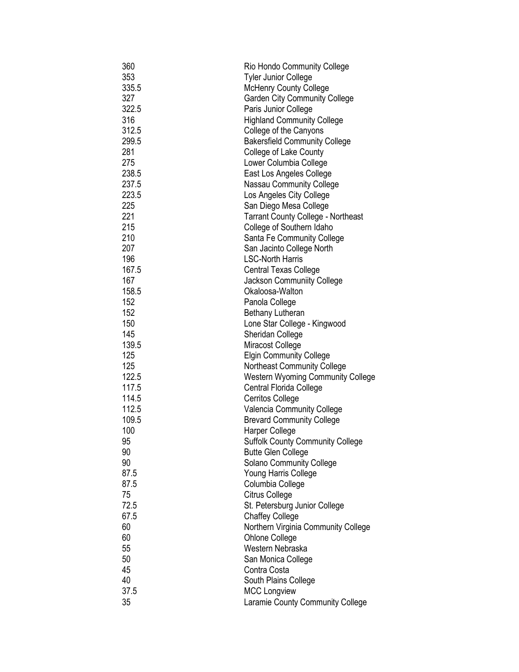| 360   | Rio Hondo Community College               |
|-------|-------------------------------------------|
| 353   | <b>Tyler Junior College</b>               |
| 335.5 | <b>McHenry County College</b>             |
| 327   | <b>Garden City Community College</b>      |
| 322.5 | Paris Junior College                      |
| 316   | <b>Highland Community College</b>         |
| 312.5 | College of the Canyons                    |
| 299.5 | <b>Bakersfield Community College</b>      |
| 281   | College of Lake County                    |
| 275   | Lower Columbia College                    |
| 238.5 | East Los Angeles College                  |
| 237.5 | <b>Nassau Community College</b>           |
| 223.5 | Los Angeles City College                  |
| 225   | San Diego Mesa College                    |
| 221   |                                           |
|       | <b>Tarrant County College - Northeast</b> |
| 215   | College of Southern Idaho                 |
| 210   | Santa Fe Community College                |
| 207   | San Jacinto College North                 |
| 196   | <b>LSC-North Harris</b>                   |
| 167.5 | <b>Central Texas College</b>              |
| 167   | <b>Jackson Communiity College</b>         |
| 158.5 | Okaloosa-Walton                           |
| 152   | Panola College                            |
| 152   | Bethany Lutheran                          |
| 150   | Lone Star College - Kingwood              |
| 145   | Sheridan College                          |
| 139.5 | Miracost College                          |
| 125   | <b>Elgin Community College</b>            |
| 125   | <b>Northeast Community College</b>        |
| 122.5 | <b>Western Wyoming Community College</b>  |
| 117.5 | Central Florida College                   |
| 114.5 | <b>Cerritos College</b>                   |
| 112.5 | <b>Valencia Community College</b>         |
| 109.5 | <b>Brevard Community College</b>          |
| 100   | Harper College                            |
| 95    | <b>Suffolk County Community College</b>   |
| 90    | <b>Butte Glen College</b>                 |
| 90    | <b>Solano Community College</b>           |
| 87.5  | Young Harris College                      |
| 87.5  | Columbia College                          |
| 75    | Citrus College                            |
| 72.5  | St. Petersburg Junior College             |
| 67.5  | <b>Chaffey College</b>                    |
| 60    | Northern Virginia Community College       |
| 60    | <b>Ohlone College</b>                     |
| 55    | Western Nebraska                          |
| 50    | San Monica College                        |
| 45    | Contra Costa                              |
| 40    | South Plains College                      |
| 37.5  | <b>MCC Longview</b>                       |
| 35    | Laramie County Community College          |